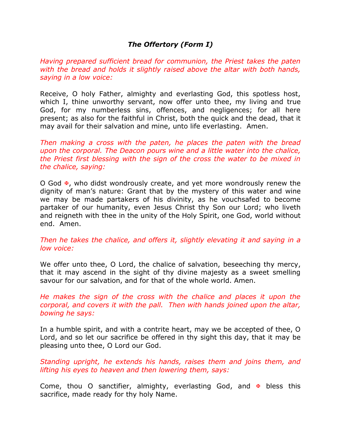## *The Offertory (Form I)*

*Having prepared sufficient bread for communion, the Priest takes the paten with the bread and holds it slightly raised above the altar with both hands, saying in a low voice:*

Receive, O holy Father, almighty and everlasting God, this spotless host, which I, thine unworthy servant, now offer unto thee, my living and true God, for my numberless sins, offences, and negligences; for all here present; as also for the faithful in Christ, both the quick and the dead, that it may avail for their salvation and mine, unto life everlasting. Amen.

*Then making a cross with the paten, he places the paten with the bread upon the corporal. The Deacon pours wine and a little water into the chalice, the Priest first blessing with the sign of the cross the water to be mixed in the chalice, saying:*

O God  $\Phi$ , who didst wondrously create, and yet more wondrously renew the dignity of man's nature: Grant that by the mystery of this water and wine we may be made partakers of his divinity, as he vouchsafed to become partaker of our humanity, even Jesus Christ thy Son our Lord; who liveth and reigneth with thee in the unity of the Holy Spirit, one God, world without end. Amen.

*Then he takes the chalice, and offers it, slightly elevating it and saying in a low voice:*

We offer unto thee, O Lord, the chalice of salvation, beseeching thy mercy, that it may ascend in the sight of thy divine majesty as a sweet smelling savour for our salvation, and for that of the whole world. Amen.

*He makes the sign of the cross with the chalice and places it upon the corporal, and covers it with the pall. Then with hands joined upon the altar, bowing he says:*

In a humble spirit, and with a contrite heart, may we be accepted of thee, O Lord, and so let our sacrifice be offered in thy sight this day, that it may be pleasing unto thee, O Lord our God.

*Standing upright, he extends his hands, raises them and joins them, and lifting his eyes to heaven and then lowering them, says:*

Come, thou O sanctifier, almighty, everlasting God, and  $\overline{\mathbf{v}}$  bless this sacrifice, made ready for thy holy Name.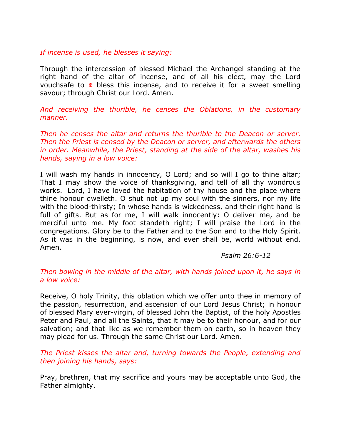## *If incense is used, he blesses it saying:*

Through the intercession of blessed Michael the Archangel standing at the right hand of the altar of incense, and of all his elect, may the Lord vouchsafe to  $\overline{x}$  bless this incense, and to receive it for a sweet smelling savour; through Christ our Lord. Amen.

*And receiving the thurible, he censes the Oblations, in the customary manner.*

*Then he censes the altar and returns the thurible to the Deacon or server. Then the Priest is censed by the Deacon or server, and afterwards the others in order. Meanwhile, the Priest, standing at the side of the altar, washes his hands, saying in a low voice:*

I will wash my hands in innocency, O Lord; and so will I go to thine altar; That I may show the voice of thanksgiving, and tell of all thy wondrous works. Lord, I have loved the habitation of thy house and the place where thine honour dwelleth. O shut not up my soul with the sinners, nor my life with the blood-thirsty; In whose hands is wickedness, and their right hand is full of gifts. But as for me, I will walk innocently: O deliver me, and be merciful unto me. My foot standeth right; I will praise the Lord in the congregations. Glory be to the Father and to the Son and to the Holy Spirit. As it was in the beginning, is now, and ever shall be, world without end. Amen.

## *Psalm 26:6-12*

## *Then bowing in the middle of the altar, with hands joined upon it, he says in a low voice:*

Receive, O holy Trinity, this oblation which we offer unto thee in memory of the passion, resurrection, and ascension of our Lord Jesus Christ; in honour of blessed Mary ever-virgin, of blessed John the Baptist, of the holy Apostles Peter and Paul, and all the Saints, that it may be to their honour, and for our salvation; and that like as we remember them on earth, so in heaven they may plead for us. Through the same Christ our Lord. Amen.

*The Priest kisses the altar and, turning towards the People, extending and then joining his hands, says:*

Pray, brethren, that my sacrifice and yours may be acceptable unto God, the Father almighty.